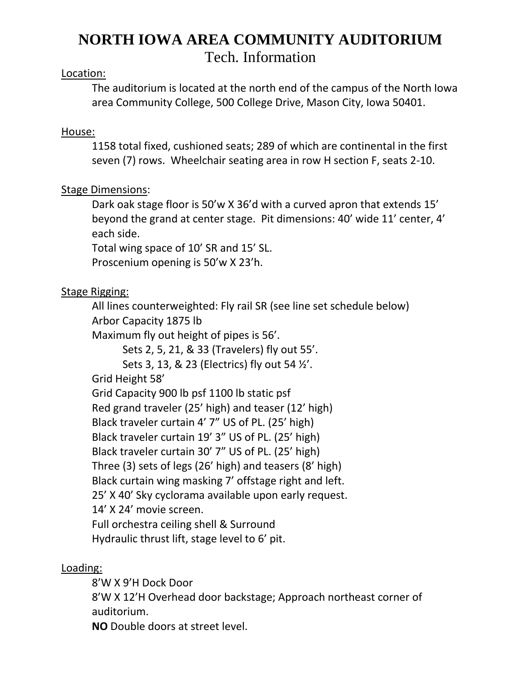# **NORTH IOWA AREA COMMUNITY AUDITORIUM** Tech. Information

#### Location:

The auditorium is located at the north end of the campus of the North Iowa area Community College, 500 College Drive, Mason City, Iowa 50401.

#### House:

1158 total fixed, cushioned seats; 289 of which are continental in the first seven (7) rows. Wheelchair seating area in row H section F, seats 2-10.

## Stage Dimensions:

Dark oak stage floor is 50'w X 36'd with a curved apron that extends 15' beyond the grand at center stage. Pit dimensions: 40' wide 11' center, 4' each side.

Total wing space of 10' SR and 15' SL.

Proscenium opening is 50'w X 23'h.

## Stage Rigging:

All lines counterweighted: Fly rail SR (see line set schedule below) Arbor Capacity 1875 lb

Maximum fly out height of pipes is 56'.

Sets 2, 5, 21, & 33 (Travelers) fly out 55'.

Sets 3, 13, & 23 (Electrics) fly out 54 ½'.

Grid Height 58'

Grid Capacity 900 lb psf 1100 lb static psf Red grand traveler (25' high) and teaser (12' high) Black traveler curtain 4' 7" US of PL. (25' high) Black traveler curtain 19' 3" US of PL. (25' high) Black traveler curtain 30' 7" US of PL. (25' high) Three (3) sets of legs (26' high) and teasers (8' high) Black curtain wing masking 7' offstage right and left. 25' X 40' Sky cyclorama available upon early request. 14' X 24' movie screen. Full orchestra ceiling shell & Surround Hydraulic thrust lift, stage level to 6' pit.

#### Loading:

8'W X 9'H Dock Door 8'W X 12'H Overhead door backstage; Approach northeast corner of auditorium.

**NO** Double doors at street level.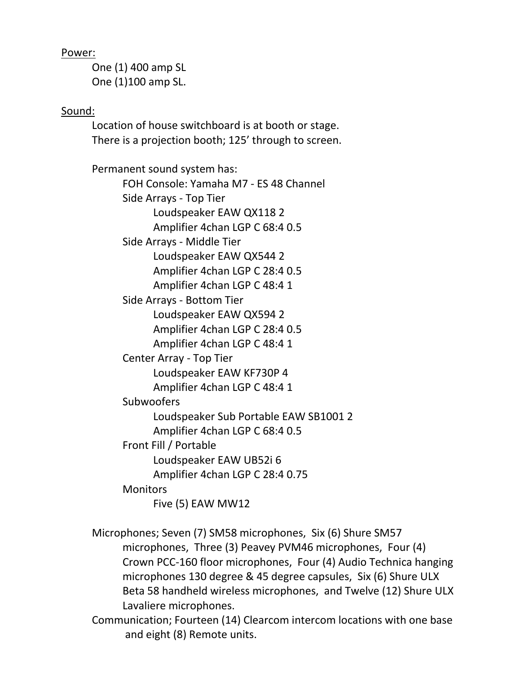Power:

One (1) 400 amp SL One (1)100 amp SL.

Sound:

Location of house switchboard is at booth or stage. There is a projection booth; 125' through to screen.

Permanent sound system has: FOH Console: Yamaha M7 - ES 48 Channel Side Arrays - Top Tier Loudspeaker EAW QX118 2 Amplifier 4chan LGP C 68:4 0.5 Side Arrays - Middle Tier Loudspeaker EAW QX544 2 Amplifier 4chan LGP C 28:4 0.5 Amplifier 4chan LGP C 48:4 1 Side Arrays - Bottom Tier Loudspeaker EAW QX594 2 Amplifier 4chan LGP C 28:4 0.5 Amplifier 4chan LGP C 48:4 1 Center Array - Top Tier Loudspeaker EAW KF730P 4 Amplifier 4chan LGP C 48:4 1 **Subwoofers** Loudspeaker Sub Portable EAW SB1001 2 Amplifier 4chan LGP C 68:4 0.5 Front Fill / Portable Loudspeaker EAW UB52i 6 Amplifier 4chan LGP C 28:4 0.75 **Monitors** Five (5) EAW MW12

Microphones; Seven (7) SM58 microphones, Six (6) Shure SM57 microphones, Three (3) Peavey PVM46 microphones, Four (4) Crown PCC-160 floor microphones, Four (4) Audio Technica hanging microphones 130 degree & 45 degree capsules, Six (6) Shure ULX Beta 58 handheld wireless microphones, and Twelve (12) Shure ULX Lavaliere microphones.

Communication; Fourteen (14) Clearcom intercom locations with one base and eight (8) Remote units.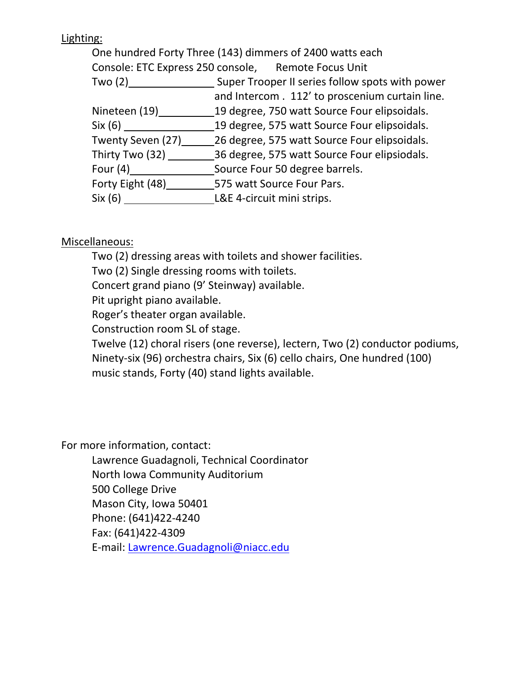# Lighting:

One hundred Forty Three (143) dimmers of 2400 watts each

Console: ETC Express 250 console, Remote Focus Unit

Two (2) \_\_\_\_\_\_\_\_\_\_\_\_\_\_\_\_\_\_\_\_\_\_\_ Super Trooper II series follow spots with power

and Intercom . 112' to proscenium curtain line.

Nineteen (19) 19 degree, 750 watt Source Four elipsoidals.

Six (6) 19 degree, 575 watt Source Four elipsoidals.

Twenty Seven (27) 26 degree, 575 watt Source Four elipsoidals.

Thirty Two (32) 36 degree, 575 watt Source Four elipsiodals.

Four (4) Source Four 50 degree barrels.

Forty Eight (48) 575 watt Source Four Pars.

Six (6) L&E 4-circuit mini strips.

# Miscellaneous:

Two (2) dressing areas with toilets and shower facilities.

Two (2) Single dressing rooms with toilets.

Concert grand piano (9' Steinway) available.

Pit upright piano available.

Roger's theater organ available.

Construction room SL of stage.

Twelve (12) choral risers (one reverse), lectern, Two (2) conductor podiums, Ninety-six (96) orchestra chairs, Six (6) cello chairs, One hundred (100) music stands, Forty (40) stand lights available.

For more information, contact:

Lawrence Guadagnoli, Technical Coordinator

North Iowa Community Auditorium

500 College Drive

Mason City, Iowa 50401

Phone: (641)422-4240

Fax: (641)422-4309

E-mail: [Lawrence.Guadagnoli@niacc.edu](mailto:Lawrence.Guadagnoli@niacc.edu)